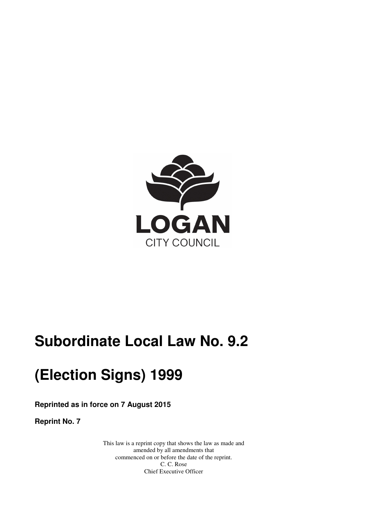

# **Subordinate Local Law No. 9.2**

# **(Election Signs) 1999**

 **Reprinted as in force on 7 August 2015** 

 **Reprint No. 7** 

 This law is a reprint copy that shows the law as made and amended by all amendments that commenced on or before the date of the reprint. C. C. Rose Chief Executive Officer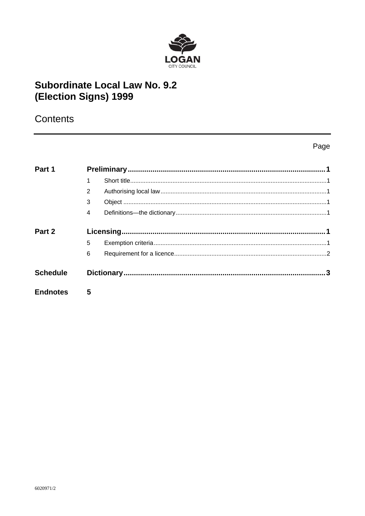

# **Subordinate Local Law No. 9.2** (Election Signs) 1999

# Contents

## Page

| Part 1          |                |  |  |
|-----------------|----------------|--|--|
|                 |                |  |  |
|                 | 2              |  |  |
|                 | 3              |  |  |
|                 | $\overline{4}$ |  |  |
| Part 2          |                |  |  |
|                 | 5              |  |  |
|                 | 6              |  |  |
| <b>Schedule</b> |                |  |  |
| <b>Endnotes</b> | 5              |  |  |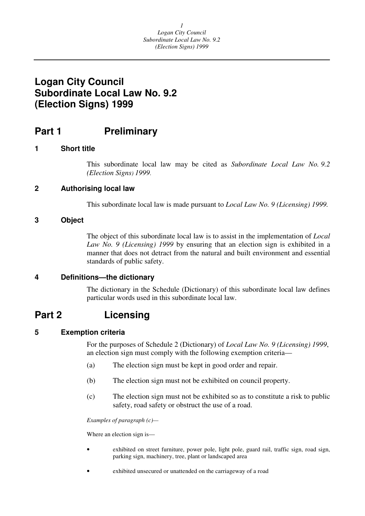# <span id="page-2-0"></span> **Logan City Council Subordinate Local Law No. 9.2 (Election Signs) 1999**

#### Part 1 **Preliminary**

## **1 Short title**

 This subordinate local law may be cited as *Subordinate Local Law No. 9.2 (Election Signs) 1999*.

## **2 Authorising local law**

This subordinate local law is made pursuant to *Local Law No. 9 (Licensing) 1999.* 

## **3 Object**

 The object of this subordinate local law is to assist in the implementation of *Local*  Law No. 9 (Licensing) 1999 by ensuring that an election sign is exhibited in a manner that does not detract from the natural and built environment and essential standards of public safety.

## **4 Definitions—the dictionary**

 The dictionary in the Schedule (Dictionary) of this subordinate local law defines particular words used in this subordinate local law.

#### Part 2 **Licensing**

## **5 Exemption criteria**

For the purposes of Schedule 2 (Dictionary) of *Local Law No. 9 (Licensing) 1999*, an election sign must comply with the following exemption criteria—

- (a) The election sign must be kept in good order and repair.
- (b) The election sign must not be exhibited on council property.
- (c) The election sign must not be exhibited so as to constitute a risk to public safety, road safety or obstruct the use of a road.

 *Examples of paragraph (c)—* 

Where an election sign is—

- • exhibited on street furniture, power pole, light pole, guard rail, traffic sign, road sign, parking sign, machinery, tree, plant or landscaped area
- exhibited unsecured or unattended on the carriageway of a road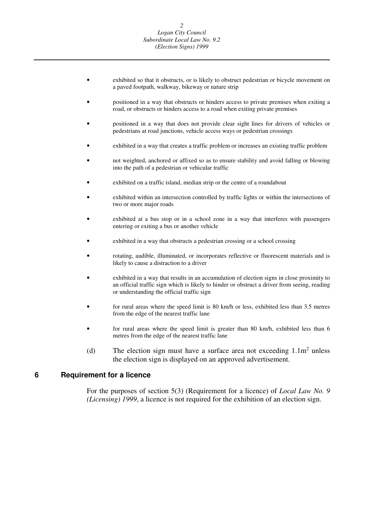- <span id="page-3-0"></span> • exhibited so that it obstructs, or is likely to obstruct pedestrian or bicycle movement on a paved footpath, walkway, bikeway or nature strip
- • positioned in a way that obstructs or hinders access to private premises when exiting a road, or obstructs or hinders access to a road when exiting private premises
- • positioned in a way that does not provide clear sight lines for drivers of vehicles or pedestrians at road junctions, vehicle access ways or pedestrian crossings
- exhibited in a way that creates a traffic problem or increases an existing traffic problem
- • not weighted, anchored or affixed so as to ensure stability and avoid falling or blowing into the path of a pedestrian or vehicular traffic
- exhibited on a traffic island, median strip or the centre of a roundabout
- • exhibited within an intersection controlled by traffic lights or within the intersections of two or more major roads
- • exhibited at a bus stop or in a school zone in a way that interferes with passengers entering or exiting a bus or another vehicle
- exhibited in a way that obstructs a pedestrian crossing or a school crossing
- • rotating, audible, illuminated, or incorporates reflective or fluorescent materials and is likely to cause a distraction to a driver
- • exhibited in a way that results in an accumulation of election signs in close proximity to an official traffic sign which is likely to hinder or obstruct a driver from seeing, reading or understanding the official traffic sign
- • for rural areas where the speed limit is 80 km/h or less, exhibited less than 3.5 metres from the edge of the nearest traffic lane
- • for rural areas where the speed limit is greater than 80 km/h, exhibited less than 6 metres from the edge of the nearest traffic lane
- (d) The election sign must have a surface area not exceeding  $1.1m<sup>2</sup>$  unless the election sign is displayed on an approved advertisement.

#### **Requirement for a licence 6**

 For the purposes of section 5(3) (Requirement for a licence) of *Local Law No. 9 (Licensing) 1999*, a licence is not required for the exhibition of an election sign.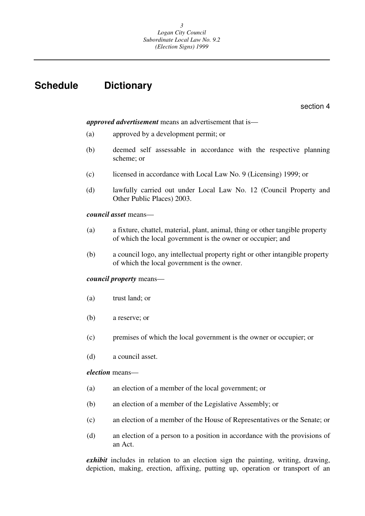# <span id="page-4-0"></span>**Schedule Dictionary**

section 4

#### *approved advertisement* means an advertisement that is—

- (a) approved by a development permit; or
- (b) deemed self assessable in accordance with the respective planning scheme; or
- (c) licensed in accordance with Local Law No. 9 (Licensing) 1999; or
- (d) lawfully carried out under Local Law No. 12 (Council Property and Other Public Places) 2003.

#### *council asset* means—

- (a) a fixture, chattel, material, plant, animal, thing or other tangible property of which the local government is the owner or occupier; and
- (b) a council logo, any intellectual property right or other intangible property of which the local government is the owner.

### *council property* means—

- (a) trust land; or
- (b) a reserve; or
- (c) premises of which the local government is the owner or occupier; or
- (d) a council asset.

#### *election* means—

- (a) an election of a member of the local government; or
- (b) an election of a member of the Legislative Assembly; or
- (c) an election of a member of the House of Representatives or the Senate; or
- (d) an election of a person to a position in accordance with the provisions of an Act.

 *exhibit* includes in relation to an election sign the painting, writing, drawing, depiction, making, erection, affixing, putting up, operation or transport of an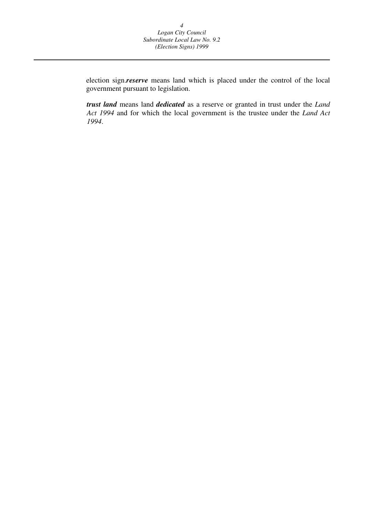election sign.*reserve* means land which is placed under the control of the local government pursuant to legislation.

 *trust land* means land *dedicated* as a reserve or granted in trust under the *Land Act 1994* and for which the local government is the trustee under the *Land Act 1994*.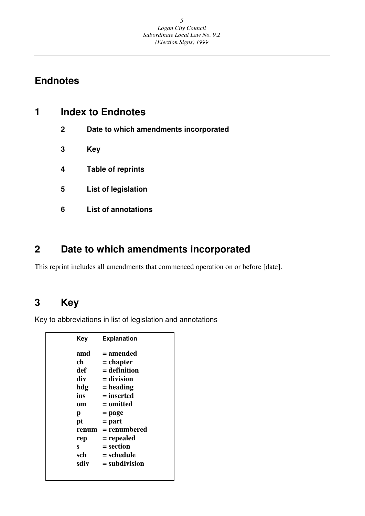# <span id="page-6-0"></span>**Endnotes**

| <b>Index to Endnotes</b> |                                       |
|--------------------------|---------------------------------------|
| $\mathbf{2}$             | Date to which amendments incorporated |
| 3                        | Key                                   |
| 4                        | <b>Table of reprints</b>              |
| 5                        | <b>List of legislation</b>            |
| 6                        | <b>List of annotations</b>            |
|                          |                                       |

#### **2 Date to which amendments incorporated**

This reprint includes all amendments that commenced operation on or before [date].

#### **3 Key**

Key to abbreviations in list of legislation and annotations

| <b>Key</b> | <b>Explanation</b> |
|------------|--------------------|
| amd        | = amended          |
| ch         | = chapter          |
| def        | = definition       |
| div        | $=$ division       |
| hdg        | $=$ heading        |
| ins        | = inserted         |
| om         | = omitted          |
| р          | = page             |
| pt         | $=$ part           |
| renum      | = renumbered       |
| rep        | = repealed         |
| S          | = section          |
| sch        | = schedule         |
| sdiv       | $=$ subdivision    |
|            |                    |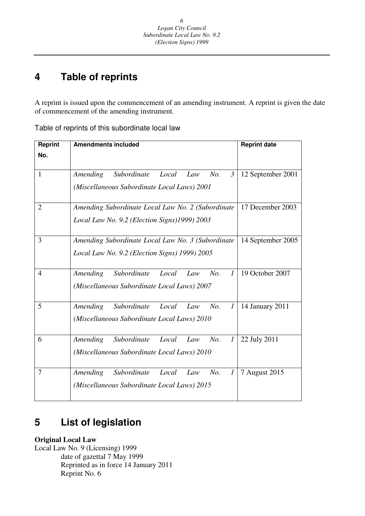# <sup>6</sup><br> *Logan City*<br> *Subordinate Locc<br>
<i>Clection Si*<br> *4*<br> **4 Table of reprints Table of reprints**

A reprint is issued upon the commencement of an amending instrument. A reprint is given the date of commencement of the amending instrument.

| Reprint        | <b>Amendments included</b>                                       | <b>Reprint date</b> |
|----------------|------------------------------------------------------------------|---------------------|
| No.            |                                                                  |                     |
|                |                                                                  |                     |
| 1              | Subordinate<br>$\mathfrak{Z}$<br>Amending<br>Local<br>No.<br>Law | 12 September 2001   |
|                | (Miscellaneous Subordinate Local Laws) 2001                      |                     |
|                |                                                                  |                     |
| $\overline{2}$ | Amending Subordinate Local Law No. 2 (Subordinate                | 17 December 2003    |
|                | Local Law No. 9.2 (Election Signs)1999) 2003                     |                     |
|                |                                                                  |                     |
| 3              | Amending Subordinate Local Law No. 3 (Subordinate                | 14 September 2005   |
|                | Local Law No. 9.2 (Election Signs) 1999) 2005                    |                     |
|                |                                                                  |                     |
| 4              | Subordinate<br>No.<br>Amending<br>Local<br>$\mathcal{I}$<br>Law  | 19 October 2007     |
|                | (Miscellaneous Subordinate Local Laws) 2007                      |                     |
|                |                                                                  |                     |
| 5              | Subordinate<br>Amending<br>Local<br>No.<br>$\mathcal{I}$<br>Law  | 14 January 2011     |
|                | (Miscellaneous Subordinate Local Laws) 2010                      |                     |
|                |                                                                  |                     |
| 6              | Subordinate<br>No.<br>Amending<br>Local<br>Law<br>$\mathcal{I}$  | 22 July 2011        |
|                | (Miscellaneous Subordinate Local Laws) 2010                      |                     |
|                |                                                                  |                     |
| 7              | Subordinate<br>Amending<br>No.<br>$\mathcal{I}$<br>Local<br>Law  | 7 August 2015       |
|                | (Miscellaneous Subordinate Local Laws) 2015                      |                     |
|                |                                                                  |                     |

Table of reprints of this subordinate local law

#### **5List of legislation**

**Original Local Law** 

 Local Law No. 9 (Licensing) 1999 date of gazettal 7 May 1999 Reprinted as in force 14 January 2011 Reprint No. 6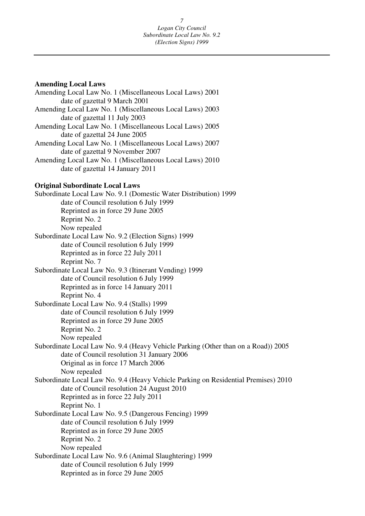```
Amending Local Laws
```
 Amending Local Law No. 1 (Miscellaneous Local Laws) 2001 Amending Local Law No. 1 (Miscellaneous Local Laws) 2003 Amending Local Law No. 1 (Miscellaneous Local Laws) 2005 Amending Local Law No. 1 (Miscellaneous Local Laws) 2007 Amending Local Law No. 1 (Miscellaneous Local Laws) 2010 date of gazettal 14 January 2011 date of gazettal 9 March 2001 date of gazettal 11 July 2003 date of gazettal 24 June 2005 date of gazettal 9 November 2007

## **Original Subordinate Local Laws**

 Subordinate Local Law No. 9.1 (Domestic Water Distribution) 1999 Subordinate Local Law No. 9.2 (Election Signs) 1999 Subordinate Local Law No. 9.3 (Itinerant Vending) 1999 Subordinate Local Law No. 9.4 (Stalls) 1999 Subordinate Local Law No. 9.4 (Heavy Vehicle Parking (Other than on a Road)) 2005 Subordinate Local Law No. 9.4 (Heavy Vehicle Parking on Residential Premises) 2010 Subordinate Local Law No. 9.5 (Dangerous Fencing) 1999 Subordinate Local Law No. 9.6 (Animal Slaughtering) 1999 date of Council resolution 6 July 1999 Reprinted as in force 29 June 2005 Now repealed Reprint No. 2 date of Council resolution 6 July 1999 Reprinted as in force 22 July 2011 Reprint No. 7 date of Council resolution 6 July 1999 Reprinted as in force 14 January 2011 Reprint No. 4 date of Council resolution 6 July 1999 Reprinted as in force 29 June 2005 Now repealed Reprint No. 2 date of Council resolution 31 January 2006 Original as in force 17 March 2006 Now repealed date of Council resolution 24 August 2010 Reprinted as in force 22 July 2011 Reprint No. 1 date of Council resolution 6 July 1999 Reprinted as in force 29 June 2005 Now repealed Reprint No. 2 date of Council resolution 6 July 1999 Reprinted as in force 29 June 2005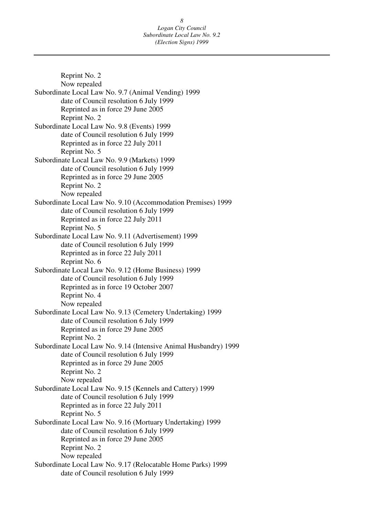Subordinate Local Law No. 9.7 (Animal Vending) 1999 Subordinate Local Law No. 9.8 (Events) 1999 Subordinate Local Law No. 9.9 (Markets) 1999 Subordinate Local Law No. 9.10 (Accommodation Premises) 1999 Subordinate Local Law No. 9.11 (Advertisement) 1999 Subordinate Local Law No. 9.12 (Home Business) 1999 Subordinate Local Law No. 9.13 (Cemetery Undertaking) 1999 Subordinate Local Law No. 9.14 (Intensive Animal Husbandry) 1999 Subordinate Local Law No. 9.15 (Kennels and Cattery) 1999 Subordinate Local Law No. 9.16 (Mortuary Undertaking) 1999 Subordinate Local Law No. 9.17 (Relocatable Home Parks) 1999 Reprint No. 2 Now repealed date of Council resolution 6 July 1999 Reprinted as in force 29 June 2005 Reprint No. 2 date of Council resolution 6 July 1999 Reprinted as in force 22 July 2011 Reprint No. 5 date of Council resolution 6 July 1999 Reprinted as in force 29 June 2005 Reprint No. 2 Now repealed date of Council resolution 6 July 1999 Reprinted as in force 22 July 2011 Reprint No. 5 date of Council resolution 6 July 1999 Reprinted as in force 22 July 2011 Reprint No. 6 date of Council resolution 6 July 1999 Reprinted as in force 19 October 2007 Reprint No. 4 Now repealed date of Council resolution 6 July 1999 Reprinted as in force 29 June 2005 Reprint No. 2 date of Council resolution 6 July 1999 Reprinted as in force 29 June 2005 Reprint No. 2 Now repealed date of Council resolution 6 July 1999 Reprinted as in force 22 July 2011 Reprint No. 5 date of Council resolution 6 July 1999 Reprinted as in force 29 June 2005 Reprint No. 2 Now repealed date of Council resolution 6 July 1999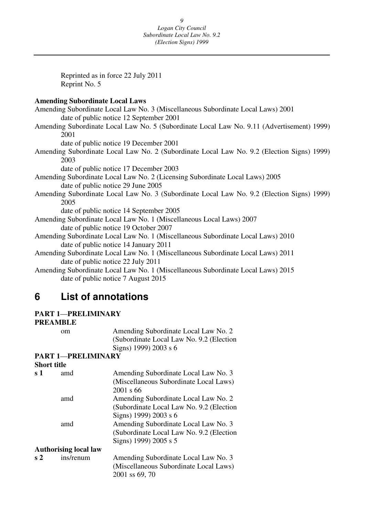Amending Subordinate Local Law No. 3 (Miscellaneous Subordinate Local Laws) 2001 Amending Subordinate Local Law No. 5 (Subordinate Local Law No. 9.11 (Advertisement) 1999) Amending Subordinate Local Law No. 2 (Subordinate Local Law No. 9.2 (Election Signs) 1999) Amending Subordinate Local Law No. 2 (Licensing Subordinate Local Laws) 2005 Amending Subordinate Local Law No. 3 (Subordinate Local Law No. 9.2 (Election Signs) 1999) Amending Subordinate Local Law No. 1 (Miscellaneous Local Laws) 2007 Amending Subordinate Local Law No. 1 (Miscellaneous Subordinate Local Laws) 2010 Amending Subordinate Local Law No. 1 (Miscellaneous Subordinate Local Laws) 2011 Amending Subordinate Local Law No. 1 (Miscellaneous Subordinate Local Laws) 2015 9 *Logan City*<br> *Expancity*<br> *Expancity*<br> *Comparing City*<br> *Chection Si,*<br> *Chection Si,*<br> **Experiment No. 5**<br> **Reprint No. 5**<br> **Amending Subordinate Local Law No. 3 (Miscella<br>
date of public notice 12 September 2001<br>
Ame** Reprinted as in force 22 July 2011 Reprint No. 5 **Amending Subordinate Local Laws**  date of public notice 12 September 2001 2001 date of public notice 19 December 2001 2003 date of public notice 17 December 2003 date of public notice 29 June 2005 2005 date of public notice 14 September 2005 date of public notice 19 October 2007 date of public notice 14 January 2011 date of public notice 22 July 2011 date of public notice 7 August 2015

#### **List of annotations**

## **PART 1**—**PRELIMINARY**

## **PREAMBLE**

 om Amending Subordinate Local Law No. 2 (Subordinate Local Law No. 9.2 (Election Signs) 1999) 2003 s 6

#### **PART 1**—**PRELIMINARY Short title**

| эногі ине      |                              |                                           |
|----------------|------------------------------|-------------------------------------------|
| $\bf s$ 1      | amd                          | Amending Subordinate Local Law No. 3      |
|                |                              | (Miscellaneous Subordinate Local Laws)    |
|                |                              | 2001 s 66                                 |
|                | amd                          | Amending Subordinate Local Law No. 2      |
|                |                              | (Subordinate Local Law No. 9.2 (Election) |
|                |                              | Signs) 1999) 2003 s 6                     |
|                | amd                          | Amending Subordinate Local Law No. 3      |
|                |                              | (Subordinate Local Law No. 9.2 (Election) |
|                |                              | Signs) 1999) 2005 s 5                     |
|                | <b>Authorising local law</b> |                                           |
| $\mathbf{s}$ 2 | ins/renum                    | Amending Subordinate Local Law No. 3      |
|                |                              | (Miscellaneous Subordinate Local Laws)    |
|                |                              | 2001 ss 69, 70                            |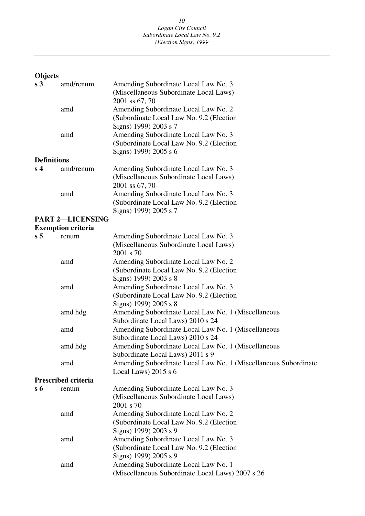# **Objects**

| s <sub>3</sub>     | amd/renum                  | Amending Subordinate Local Law No. 3<br>(Miscellaneous Subordinate Local Laws)<br>2001 ss 67, 70           |
|--------------------|----------------------------|------------------------------------------------------------------------------------------------------------|
|                    | amd                        | Amending Subordinate Local Law No. 2<br>(Subordinate Local Law No. 9.2 (Election)<br>Signs) 1999) 2003 s 7 |
|                    | amd                        | Amending Subordinate Local Law No. 3<br>(Subordinate Local Law No. 9.2 (Election<br>Signs) 1999) 2005 s 6  |
| <b>Definitions</b> |                            |                                                                                                            |
| s <sub>4</sub>     | amd/renum                  | Amending Subordinate Local Law No. 3<br>(Miscellaneous Subordinate Local Laws)<br>2001 ss 67, 70           |
|                    | amd                        | Amending Subordinate Local Law No. 3<br>(Subordinate Local Law No. 9.2 (Election<br>Signs) 1999) 2005 s 7  |
|                    | <b>PART 2-LICENSING</b>    |                                                                                                            |
|                    | <b>Exemption criteria</b>  |                                                                                                            |
| s <sub>5</sub>     | renum                      | Amending Subordinate Local Law No. 3<br>(Miscellaneous Subordinate Local Laws)<br>2001 s 70                |
|                    | amd                        | Amending Subordinate Local Law No. 2<br>(Subordinate Local Law No. 9.2 (Election)<br>Signs) 1999) 2003 s 8 |
|                    | amd                        | Amending Subordinate Local Law No. 3<br>(Subordinate Local Law No. 9.2 (Election<br>Signs) 1999) 2005 s 8  |
|                    | amd hdg                    | Amending Subordinate Local Law No. 1 (Miscellaneous<br>Subordinate Local Laws) 2010 s 24                   |
|                    | amd                        | Amending Subordinate Local Law No. 1 (Miscellaneous<br>Subordinate Local Laws) 2010 s 24                   |
|                    | amd hdg                    | Amending Subordinate Local Law No. 1 (Miscellaneous<br>Subordinate Local Laws) 2011 s 9                    |
|                    | amd                        | Amending Subordinate Local Law No. 1 (Miscellaneous Subordinate<br>Local Laws) $2015 s 6$                  |
| s 6                | <b>Prescribed criteria</b> | Amending Subordinate Local Law No. 3                                                                       |
|                    | renum                      | (Miscellaneous Subordinate Local Laws)<br>2001 s 70                                                        |
|                    | amd                        | Amending Subordinate Local Law No. 2<br>(Subordinate Local Law No. 9.2 (Election<br>Signs) 1999) 2003 s 9  |
|                    | amd                        | Amending Subordinate Local Law No. 3<br>(Subordinate Local Law No. 9.2 (Election<br>Signs) 1999) 2005 s 9  |
|                    | amd                        | Amending Subordinate Local Law No. 1<br>(Miscellaneous Subordinate Local Laws) 2007 s 26                   |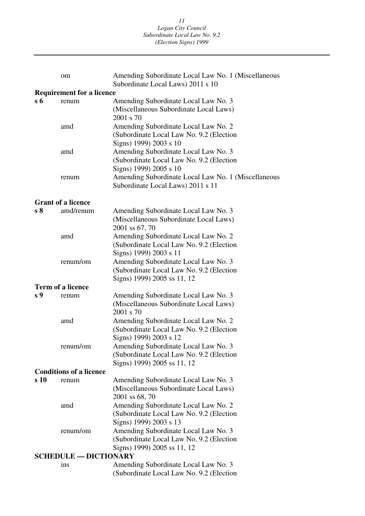|                              | om                               | Amending Subordinate Local Law No. 1 (Miscellaneous                                                              |
|------------------------------|----------------------------------|------------------------------------------------------------------------------------------------------------------|
|                              |                                  | Subordinate Local Laws) 2011 s 10                                                                                |
|                              | <b>Requirement for a licence</b> |                                                                                                                  |
| $s\,6$                       | renum                            | Amending Subordinate Local Law No. 3<br>(Miscellaneous Subordinate Local Laws)<br>2001 s 70                      |
|                              | amd                              | Amending Subordinate Local Law No. 2<br>(Subordinate Local Law No. 9.2 (Election)<br>Signs) 1999) 2003 s 10      |
|                              | amd                              | Amending Subordinate Local Law No. 3<br>(Subordinate Local Law No. 9.2 (Election)<br>Signs) 1999) 2005 s 10      |
|                              | renum                            | Amending Subordinate Local Law No. 1 (Miscellaneous<br>Subordinate Local Laws) 2011 s 11                         |
|                              | <b>Grant of a licence</b>        |                                                                                                                  |
| s <sub>8</sub>               | amd/renum                        | Amending Subordinate Local Law No. 3<br>(Miscellaneous Subordinate Local Laws)<br>2001 ss 67, 70                 |
|                              | amd                              | Amending Subordinate Local Law No. 2<br>(Subordinate Local Law No. 9.2 (Election)<br>Signs) 1999) 2003 s 11      |
|                              | renum/om                         | Amending Subordinate Local Law No. 3<br>(Subordinate Local Law No. 9.2 (Election)<br>Signs) 1999) 2005 ss 11, 12 |
|                              | <b>Term of a licence</b>         |                                                                                                                  |
| s 9                          | renum                            | Amending Subordinate Local Law No. 3<br>(Miscellaneous Subordinate Local Laws)<br>2001 s 70                      |
|                              | amd                              | Amending Subordinate Local Law No. 2<br>(Subordinate Local Law No. 9.2 (Election)<br>Signs) 1999) 2003 s 12      |
|                              | renum/om                         | Amending Subordinate Local Law No. 3<br>(Subordinate Local Law No. 9.2 (Election)<br>Signs) 1999) 2005 ss 11, 12 |
|                              | <b>Conditions of a licence</b>   |                                                                                                                  |
| s 10                         | renum                            | Amending Subordinate Local Law No. 3<br>(Miscellaneous Subordinate Local Laws)<br>2001 ss 68, 70                 |
|                              | amd                              | Amending Subordinate Local Law No. 2<br>(Subordinate Local Law No. 9.2 (Election)<br>Signs) 1999) 2003 s 13      |
|                              | renum/om                         | Amending Subordinate Local Law No. 3<br>(Subordinate Local Law No. 9.2 (Election)<br>Signs) 1999) 2005 ss 11, 12 |
| <b>SCHEDULE - DICTIONARY</b> |                                  |                                                                                                                  |
|                              | ins                              | Amending Subordinate Local Law No. 3<br>(Subordinate Local Law No. 9.2 (Election)                                |